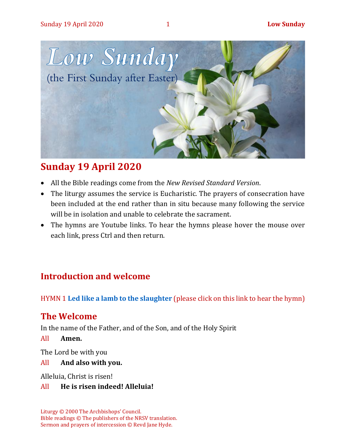

# **Sunday 19 April 2020**

- All the Bible readings come from the *New Revised Standard Version*.
- The liturgy assumes the service is Eucharistic. The prayers of consecration have been included at the end rather than in situ because many following the service will be in isolation and unable to celebrate the sacrament.
- The hymns are Youtube links. To hear the hymns please hover the mouse over each link, press Ctrl and then return.

# **Introduction and welcome**

HYMN 1 **[Led like a lamb to the slaughter](https://www.youtube.com/watch?v=O0GrscBNDxo)** (please click on this link to hear the hymn)

# **The Welcome**

In the name of the Father, and of the Son, and of the Holy Spirit

All **Amen.**

The Lord be with you

All **And also with you.**

Alleluia, Christ is risen!

#### All **He is risen indeed! Alleluia!**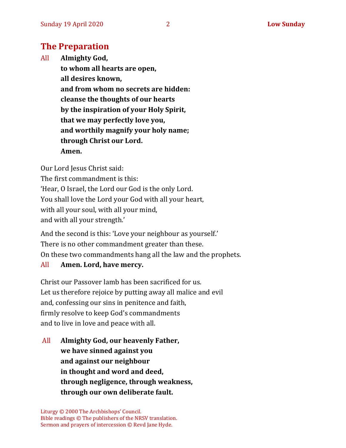# **The Preparation**

All **Almighty God, to whom all hearts are open, all desires known, and from whom no secrets are hidden: cleanse the thoughts of our hearts by the inspiration of your Holy Spirit, that we may perfectly love you, and worthily magnify your holy name; through Christ our Lord. Amen.**

Our Lord Jesus Christ said:

The first commandment is this: 'Hear, O Israel, the Lord our God is the only Lord. You shall love the Lord your God with all your heart, with all your soul, with all your mind, and with all your strength.'

And the second is this: 'Love your neighbour as yourself.' There is no other commandment greater than these. On these two commandments hang all the law and the prophets.

#### All **Amen. Lord, have mercy.**

Christ our Passover lamb has been sacrificed for us. Let us therefore rejoice by putting away all malice and evil and, confessing our sins in penitence and faith, firmly resolve to keep God's commandments and to live in love and peace with all.

All **Almighty God, our heavenly Father, we have sinned against you and against our neighbour in thought and word and deed, through negligence, through weakness, through our own deliberate fault.**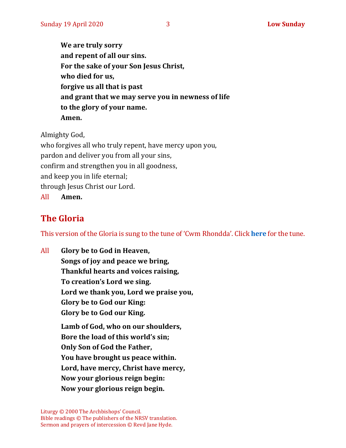**We are truly sorry and repent of all our sins. For the sake of your Son Jesus Christ, who died for us, forgive us all that is past and grant that we may serve you in newness of life to the glory of your name. Amen.**

Almighty God,

who forgives all who truly repent, have mercy upon you, pardon and deliver you from all your sins, confirm and strengthen you in all goodness, and keep you in life eternal; through Jesus Christ our Lord. All **Amen.**

# **The Gloria**

This version of the Gloria is sung to the tune of 'Cwm Rhondda'. Click **[here](https://www.youtube.com/watch?v=BtGhnEwY74E)** for the tune.

All **Glory be to God in Heaven, Songs of joy and peace we bring, Thankful hearts and voices raising, To creation's Lord we sing. Lord we thank you, Lord we praise you, Glory be to God our King: Glory be to God our King. Lamb of God, who on our shoulders, Bore the load of this world's sin; Only Son of God the Father, You have brought us peace within. Lord, have mercy, Christ have mercy, Now your glorious reign begin: Now your glorious reign begin.**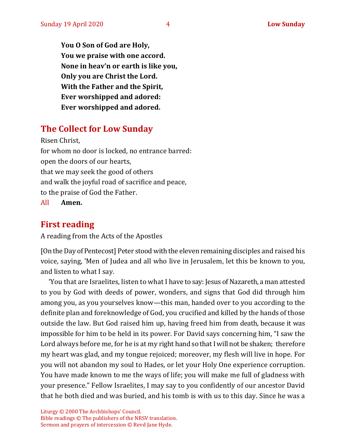**You O Son of God are Holy, You we praise with one accord. None in heav'n or earth is like you, Only you are Christ the Lord. With the Father and the Spirit, Ever worshipped and adored: Ever worshipped and adored.**

# **The Collect for Low Sunday**

Risen Christ, for whom no door is locked, no entrance barred: open the doors of our hearts, that we may seek the good of others and walk the joyful road of sacrifice and peace, to the praise of God the Father.

All **Amen.**

# **First reading**

A reading from the Acts of the Apostles

[On the Day of Pentecost] Peter stood with the eleven remaining disciples and raised his voice, saying, 'Men of Judea and all who live in Jerusalem, let this be known to you, and listen to what I say.

'You that are Israelites, listen to what I have to say: Jesus of Nazareth, a man attested to you by God with deeds of power, wonders, and signs that God did through him among you, as you yourselves know—this man, handed over to you according to the definite plan and foreknowledge of God, you crucified and killed by the hands of those outside the law. But God raised him up, having freed him from death, because it was impossible for him to be held in its power. For David says concerning him, "I saw the Lord always before me, for he is at my right hand so that I will not be shaken; therefore my heart was glad, and my tongue rejoiced; moreover, my flesh will live in hope. For you will not abandon my soul to Hades, or let your Holy One experience corruption. You have made known to me the ways of life; you will make me full of gladness with your presence." Fellow Israelites, I may say to you confidently of our ancestor David that he both died and was buried, and his tomb is with us to this day. Since he was a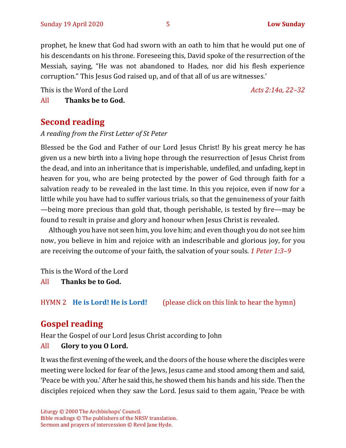prophet, he knew that God had sworn with an oath to him that he would put one of his descendants on his throne. Foreseeing this, David spoke of the resurrection of the Messiah, saying, "He was not abandoned to Hades, nor did his flesh experience corruption." This Jesus God raised up, and of that all of us are witnesses.'

This is the Word of the Lord *Acts 2:14a, 22–32* All **Thanks be to God.**

## **Second reading**

*A reading from the First Letter of St Peter*

Blessed be the God and Father of our Lord Jesus Christ! By his great mercy he has given us a new birth into a living hope through the resurrection of Jesus Christ from the dead, and into an inheritance that is imperishable, undefiled, and unfading, kept in heaven for you, who are being protected by the power of God through faith for a salvation ready to be revealed in the last time. In this you rejoice, even if now for a little while you have had to suffer various trials, so that the genuineness of your faith —being more precious than gold that, though perishable, is tested by fire—may be found to result in praise and glory and honour when Jesus Christ is revealed.

Although you have not seen him, you love him; and even though you do not see him now, you believe in him and rejoice with an indescribable and glorious joy, for you are receiving the outcome of your faith, the salvation of your souls. *1 Peter 1:3–9*

This is the Word of the Lord

All **Thanks be to God.**

HYMN 2 **[He is Lord! He is Lord!](https://www.youtube.com/watch?v=wuLLcjDCKbg)** (please click on this link to hear the hymn)

# **Gospel reading**

Hear the Gospel of our Lord Jesus Christ according to John

All **Glory to you O Lord.**

It was the first evening of the week, and the doors of the house where the disciples were meeting were locked for fear of the Jews, Jesus came and stood among them and said, 'Peace be with you.' After he said this, he showed them his hands and his side. Then the disciples rejoiced when they saw the Lord. Jesus said to them again, 'Peace be with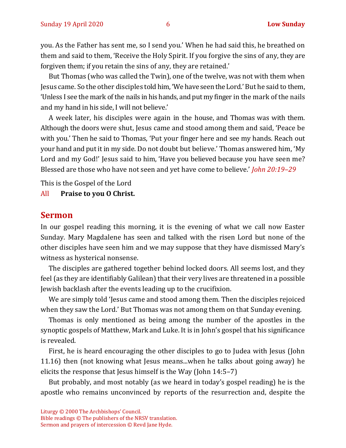you. As the Father has sent me, so I send you.' When he had said this, he breathed on them and said to them, 'Receive the Holy Spirit. If you forgive the sins of any, they are forgiven them; if you retain the sins of any, they are retained.'

But Thomas (who was called the Twin), one of the twelve, was not with them when Jesus came. So the other disciples told him, 'We have seen the Lord.' But he said to them, 'Unless I see the mark of the nails in his hands, and put my finger in the mark of the nails and my hand in his side, I will not believe.'

A week later, his disciples were again in the house, and Thomas was with them. Although the doors were shut, Jesus came and stood among them and said, 'Peace be with you.' Then he said to Thomas, 'Put your finger here and see my hands. Reach out your hand and put it in my side. Do not doubt but believe.' Thomas answered him, 'My Lord and my God!' Jesus said to him, 'Have you believed because you have seen me? Blessed are those who have not seen and yet have come to believe.' *John 20:19–29*

This is the Gospel of the Lord

#### All **Praise to you O Christ.**

#### **Sermon**

In our gospel reading this morning, it is the evening of what we call now Easter Sunday. Mary Magdalene has seen and talked with the risen Lord but none of the other disciples have seen him and we may suppose that they have dismissed Mary's witness as hysterical nonsense.

The disciples are gathered together behind locked doors. All seems lost, and they feel (as they are identifiably Galilean) that their very lives are threatened in a possible Jewish backlash after the events leading up to the crucifixion.

We are simply told 'Jesus came and stood among them. Then the disciples rejoiced when they saw the Lord.' But Thomas was not among them on that Sunday evening.

Thomas is only mentioned as being among the number of the apostles in the synoptic gospels of Matthew, Mark and Luke. It is in John's gospel that his significance is revealed.

First, he is heard encouraging the other disciples to go to Judea with Jesus (John 11.16) then (not knowing what Jesus means...when he talks about going away) he elicits the response that Jesus himself is the Way (John 14:5–7)

But probably, and most notably (as we heard in today's gospel reading) he is the apostle who remains unconvinced by reports of the resurrection and, despite the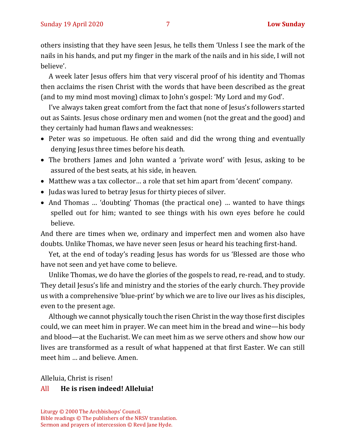others insisting that they have seen Jesus, he tells them 'Unless I see the mark of the nails in his hands, and put my finger in the mark of the nails and in his side, I will not believe'.

A week later Jesus offers him that very visceral proof of his identity and Thomas then acclaims the risen Christ with the words that have been described as the great (and to my mind most moving) climax to John's gospel: 'My Lord and my God'.

I've always taken great comfort from the fact that none of Jesus's followers started out as Saints. Jesus chose ordinary men and women (not the great and the good) and they certainly had human flaws and weaknesses:

- Peter was so impetuous. He often said and did the wrong thing and eventually denying Jesus three times before his death.
- The brothers James and John wanted a 'private word' with Jesus, asking to be assured of the best seats, at his side, in heaven.
- Matthew was a tax collector… a role that set him apart from 'decent' company.
- Judas was lured to betray Jesus for thirty pieces of silver.
- And Thomas … 'doubting' Thomas (the practical one) … wanted to have things spelled out for him; wanted to see things with his own eyes before he could believe.

And there are times when we, ordinary and imperfect men and women also have doubts. Unlike Thomas, we have never seen Jesus or heard his teaching first-hand.

Yet, at the end of today's reading Jesus has words for us 'Blessed are those who have not seen and yet have come to believe.

Unlike Thomas, we do have the glories of the gospels to read, re-read, and to study. They detail Jesus's life and ministry and the stories of the early church. They provide us with a comprehensive 'blue-print' by which we are to live our lives as his disciples, even to the present age.

Although we cannot physically touch the risen Christ in the way those first disciples could, we can meet him in prayer. We can meet him in the bread and wine—his body and blood—at the Eucharist. We can meet him as we serve others and show how our lives are transformed as a result of what happened at that first Easter. We can still meet him … and believe. Amen.

Alleluia, Christ is risen!

#### All **He is risen indeed! Alleluia!**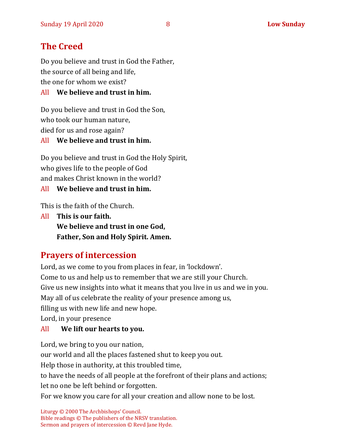# **The Creed**

Do you believe and trust in God the Father, the source of all being and life, the one for whom we exist?

#### All **We believe and trust in him.**

Do you believe and trust in God the Son, who took our human nature, died for us and rose again? All **We believe and trust in him.**

Do you believe and trust in God the Holy Spirit, who gives life to the people of God and makes Christ known in the world?

All **We believe and trust in him.**

This is the faith of the Church.

All **This is our faith. We believe and trust in one God, Father, Son and Holy Spirit. Amen.**

# **Prayers of intercession**

Lord, as we come to you from places in fear, in 'lockdown'. Come to us and help us to remember that we are still your Church. Give us new insights into what it means that you live in us and we in you. May all of us celebrate the reality of your presence among us, filling us with new life and new hope.

Lord, in your presence

#### All **We lift our hearts to you.**

Lord, we bring to you our nation, our world and all the places fastened shut to keep you out. Help those in authority, at this troubled time, to have the needs of all people at the forefront of their plans and actions; let no one be left behind or forgotten. For we know you care for all your creation and allow none to be lost.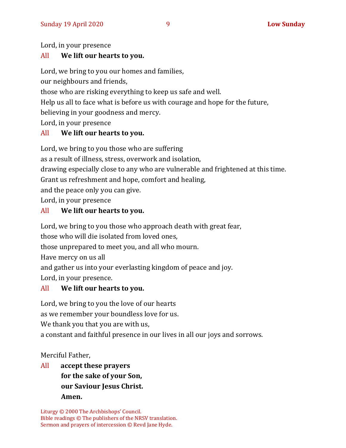Lord, in your presence

#### All **We lift our hearts to you.**

Lord, we bring to you our homes and families,

our neighbours and friends,

those who are risking everything to keep us safe and well.

Help us all to face what is before us with courage and hope for the future,

believing in your goodness and mercy.

Lord, in your presence

#### All **We lift our hearts to you.**

Lord, we bring to you those who are suffering

as a result of illness, stress, overwork and isolation,

drawing especially close to any who are vulnerable and frightened at this time.

Grant us refreshment and hope, comfort and healing,

and the peace only you can give.

Lord, in your presence

#### All **We lift our hearts to you.**

Lord, we bring to you those who approach death with great fear,

those who will die isolated from loved ones,

those unprepared to meet you, and all who mourn.

Have mercy on us all

and gather us into your everlasting kingdom of peace and joy.

Lord, in your presence.

## All **We lift our hearts to you.**

Lord, we bring to you the love of our hearts

as we remember your boundless love for us.

We thank you that you are with us,

a constant and faithful presence in our lives in all our joys and sorrows.

Merciful Father,

# All **accept these prayers for the sake of your Son, our Saviour Jesus Christ. Amen.**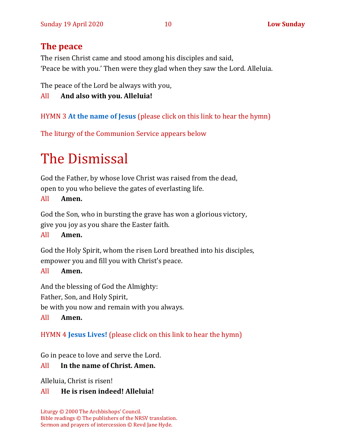# **The peace**

The risen Christ came and stood among his disciples and said, 'Peace be with you.' Then were they glad when they saw the Lord. Alleluia.

The peace of the Lord be always with you,

All **And also with you. Alleluia!**

HYMN 3 **[At the name of Jesus](https://www.youtube.com/watch?v=Mz6xfmRC8KA)** (please click on this link to hear the hymn)

The liturgy of the Communion Service appears below

# The Dismissal

God the Father, by whose love Christ was raised from the dead, open to you who believe the gates of everlasting life.

#### All **Amen.**

God the Son, who in bursting the grave has won a glorious victory, give you joy as you share the Easter faith.

#### All **Amen.**

God the Holy Spirit, whom the risen Lord breathed into his disciples, empower you and fill you with Christ's peace.

#### All **Amen.**

And the blessing of God the Almighty: Father, Son, and Holy Spirit, be with you now and remain with you always. All **Amen.**

HYMN 4 **[Jesus Lives!](https://www.youtube.com/watch?v=ZCz-HYIxmvE)** (please click on this link to hear the hymn)

Go in peace to love and serve the Lord.

#### All **In the name of Christ. Amen.**

Alleluia, Christ is risen!

#### All **He is risen indeed! Alleluia!**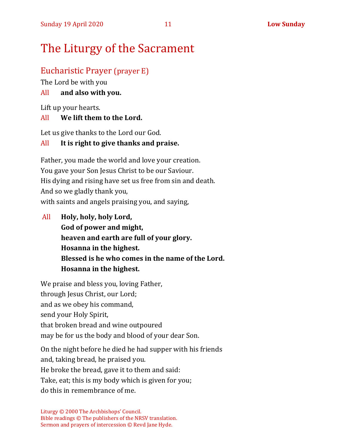# The Liturgy of the Sacrament

# Eucharistic Prayer (prayer E)

The Lord be with you

# All **and also with you.**

Lift up your hearts.

# All **We lift them to the Lord.**

Let us give thanks to the Lord our God.

# All **It is right to give thanks and praise.**

Father, you made the world and love your creation. You gave your Son Jesus Christ to be our Saviour. His dying and rising have set us free from sin and death. And so we gladly thank you, with saints and angels praising you, and saying,

All **Holy, holy, holy Lord, God of power and might, heaven and earth are full of your glory. Hosanna in the highest. Blessed is he who comes in the name of the Lord. Hosanna in the highest.**

We praise and bless you, loving Father, through Jesus Christ, our Lord; and as we obey his command, send your Holy Spirit, that broken bread and wine outpoured may be for us the body and blood of your dear Son.

On the night before he died he had supper with his friends and, taking bread, he praised you. He broke the bread, gave it to them and said: Take, eat; this is my body which is given for you; do this in remembrance of me.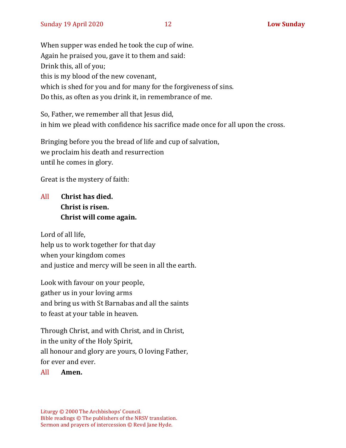When supper was ended he took the cup of wine. Again he praised you, gave it to them and said: Drink this, all of you; this is my blood of the new covenant, which is shed for you and for many for the forgiveness of sins. Do this, as often as you drink it, in remembrance of me.

So, Father, we remember all that Jesus did, in him we plead with confidence his sacrifice made once for all upon the cross.

Bringing before you the bread of life and cup of salvation, we proclaim his death and resurrection until he comes in glory.

Great is the mystery of faith:

# All **Christ has died. Christ is risen. Christ will come again.**

Lord of all life, help us to work together for that day when your kingdom comes and justice and mercy will be seen in all the earth.

Look with favour on your people, gather us in your loving arms and bring us with St Barnabas and all the saints to feast at your table in heaven.

Through Christ, and with Christ, and in Christ, in the unity of the Holy Spirit, all honour and glory are yours, O loving Father, for ever and ever.

#### All **Amen.**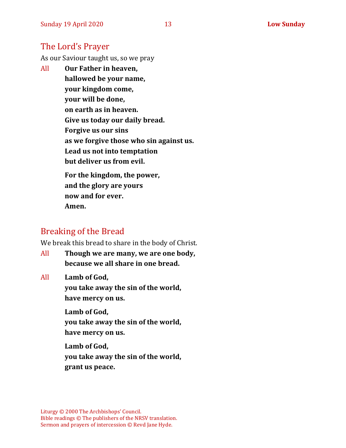#### The Lord's Prayer

As our Saviour taught us, so we pray

All **Our Father in heaven, hallowed be your name, your kingdom come, your will be done, on earth as in heaven. Give us today our daily bread. Forgive us our sins as we forgive those who sin against us. Lead us not into temptation but deliver us from evil. For the kingdom, the power,** 

**and the glory are yours now and for ever. Amen.**

## Breaking of the Bread

We break this bread to share in the body of Christ.

All **Though we are many, we are one body, because we all share in one bread.**

All **Lamb of God,**

**you take away the sin of the world, have mercy on us.**

**Lamb of God, you take away the sin of the world, have mercy on us.**

**Lamb of God, you take away the sin of the world, grant us peace.**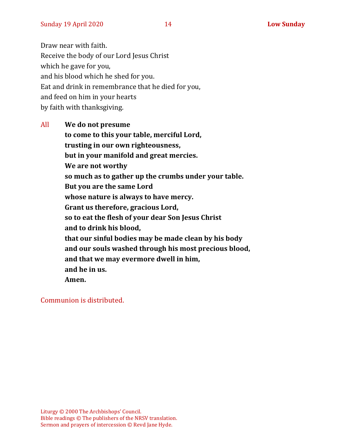Draw near with faith. Receive the body of our Lord Jesus Christ which he gave for you, and his blood which he shed for you. Eat and drink in remembrance that he died for you, and feed on him in your hearts by faith with thanksgiving.

All **We do not presume to come to this your table, merciful Lord, trusting in our own righteousness, but in your manifold and great mercies. We are not worthy so much as to gather up the crumbs under your table. But you are the same Lord whose nature is always to have mercy. Grant us therefore, gracious Lord, so to eat the flesh of your dear Son Jesus Christ and to drink his blood, that our sinful bodies may be made clean by his body and our souls washed through his most precious blood, and that we may evermore dwell in him, and he in us. Amen.**

Communion is distributed.